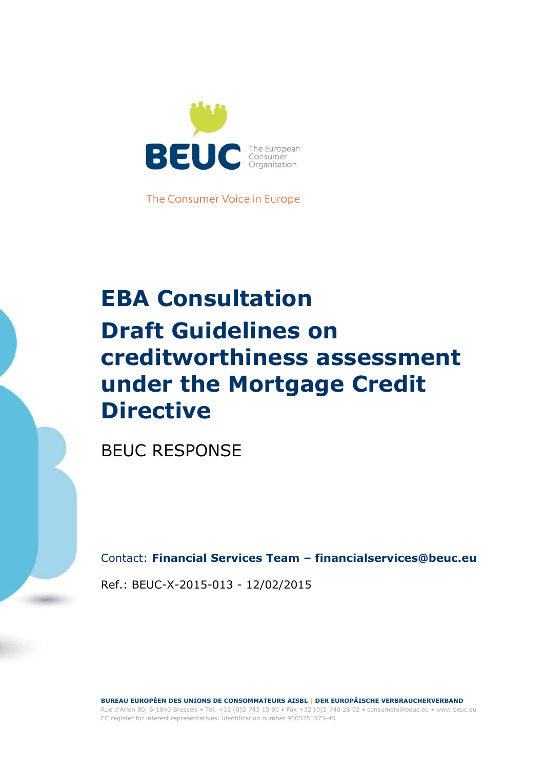

The Consumer Voice in Europe

# **EBA Consultation Draft Guidelines on creditworthiness assessment under the Mortgage Credit Directive**

BEUC RESPONSE

Contact: **Financial Services Team – financialservices@beuc.eu**

Ref.: BEUC-X-2015-013 - 12/02/2015

**BUREAU EUROPÉEN DES UNIONS DE CONSOMMATEURS AISBL | DER EUROPÄISCHE VERBRAUCHERVERBAND** Rue d'Arlon 80, B-1040 Brussels • Tel. +32 (0)2 743 15 90 • Fax +32 (0)2 740 28 02 • consumers@beuc.eu • www.beuc.eu

EC register for interest representatives: identification number 9505781573-45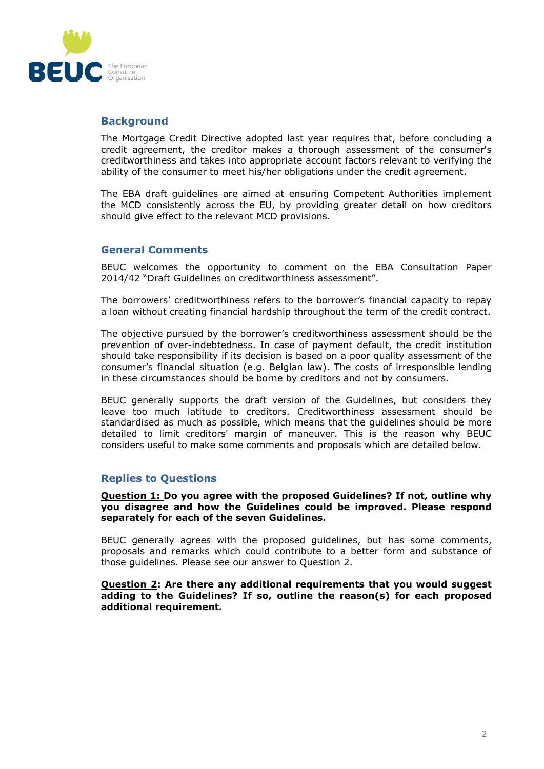

### **Background**

The Mortgage Credit Directive adopted last year requires that, before concluding a credit agreement, the creditor makes a thorough assessment of the consumer's creditworthiness and takes into appropriate account factors relevant to verifying the ability of the consumer to meet his/her obligations under the credit agreement.

The EBA draft guidelines are aimed at ensuring Competent Authorities implement the MCD consistently across the EU, by providing greater detail on how creditors should give effect to the relevant MCD provisions.

### **General Comments**

BEUC welcomes the opportunity to comment on the EBA Consultation Paper 2014/42 "Draft Guidelines on creditworthiness assessment".

The borrowers' creditworthiness refers to the borrower's financial capacity to repay a loan without creating financial hardship throughout the term of the credit contract.

The objective pursued by the borrower's creditworthiness assessment should be the prevention of over-indebtedness. In case of payment default, the credit institution should take responsibility if its decision is based on a poor quality assessment of the consumer's financial situation (e.g. Belgian law). The costs of irresponsible lending in these circumstances should be borne by creditors and not by consumers.

BEUC generally supports the draft version of the Guidelines, but considers they leave too much latitude to creditors. Creditworthiness assessment should be standardised as much as possible, which means that the guidelines should be more detailed to limit creditors' margin of maneuver. This is the reason why BEUC considers useful to make some comments and proposals which are detailed below.

# **Replies to Questions**

**Question 1: Do you agree with the proposed Guidelines? If not, outline why you disagree and how the Guidelines could be improved. Please respond separately for each of the seven Guidelines.** 

BEUC generally agrees with the proposed guidelines, but has some comments, proposals and remarks which could contribute to a better form and substance of those guidelines. Please see our answer to Question 2.

**Question 2: Are there any additional requirements that you would suggest adding to the Guidelines? If so, outline the reason(s) for each proposed additional requirement.**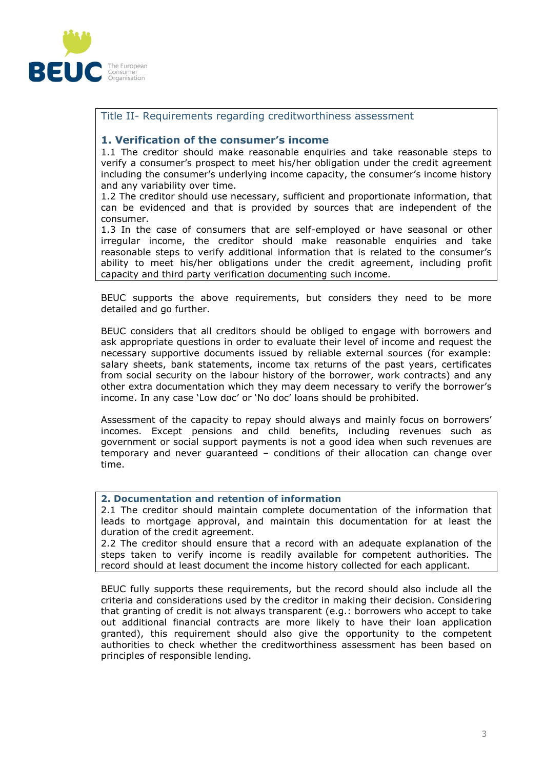

# Title II- Requirements regarding creditworthiness assessment

#### **1. Verification of the consumer's income**

1.1 The creditor should make reasonable enquiries and take reasonable steps to verify a consumer's prospect to meet his/her obligation under the credit agreement including the consumer's underlying income capacity, the consumer's income history and any variability over time.

1.2 The creditor should use necessary, sufficient and proportionate information, that can be evidenced and that is provided by sources that are independent of the consumer.

1.3 In the case of consumers that are self-employed or have seasonal or other irregular income, the creditor should make reasonable enquiries and take reasonable steps to verify additional information that is related to the consumer's ability to meet his/her obligations under the credit agreement, including profit capacity and third party verification documenting such income.

BEUC supports the above requirements, but considers they need to be more detailed and go further.

BEUC considers that all creditors should be obliged to engage with borrowers and ask appropriate questions in order to evaluate their level of income and request the necessary supportive documents issued by reliable external sources (for example: salary sheets, bank statements, income tax returns of the past years, certificates from social security on the labour history of the borrower, work contracts) and any other extra documentation which they may deem necessary to verify the borrower's income. In any case 'Low doc' or 'No doc' loans should be prohibited.

Assessment of the capacity to repay should always and mainly focus on borrowers' incomes. Except pensions and child benefits, including revenues such as government or social support payments is not a good idea when such revenues are temporary and never guaranteed – conditions of their allocation can change over time.

#### **2. Documentation and retention of information**

2.1 The creditor should maintain complete documentation of the information that leads to mortgage approval, and maintain this documentation for at least the duration of the credit agreement.

2.2 The creditor should ensure that a record with an adequate explanation of the steps taken to verify income is readily available for competent authorities. The record should at least document the income history collected for each applicant.

BEUC fully supports these requirements, but the record should also include all the criteria and considerations used by the creditor in making their decision. Considering that granting of credit is not always transparent (e.g.: borrowers who accept to take out additional financial contracts are more likely to have their loan application granted), this requirement should also give the opportunity to the competent authorities to check whether the creditworthiness assessment has been based on principles of responsible lending.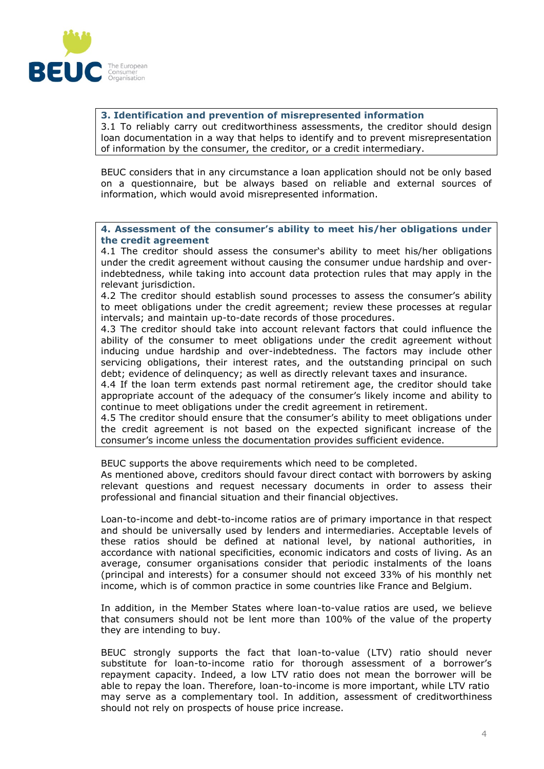

**3. Identification and prevention of misrepresented information**  3.1 To reliably carry out creditworthiness assessments, the creditor should design loan documentation in a way that helps to identify and to prevent misrepresentation of information by the consumer, the creditor, or a credit intermediary.

BEUC considers that in any circumstance a loan application should not be only based on a questionnaire, but be always based on reliable and external sources of information, which would avoid misrepresented information.

**4. Assessment of the consumer's ability to meet his/her obligations under the credit agreement** 

4.1 The creditor should assess the consumer's ability to meet his/her obligations under the credit agreement without causing the consumer undue hardship and overindebtedness, while taking into account data protection rules that may apply in the relevant jurisdiction.

4.2 The creditor should establish sound processes to assess the consumer's ability to meet obligations under the credit agreement; review these processes at regular intervals; and maintain up-to-date records of those procedures.

4.3 The creditor should take into account relevant factors that could influence the ability of the consumer to meet obligations under the credit agreement without inducing undue hardship and over-indebtedness. The factors may include other servicing obligations, their interest rates, and the outstanding principal on such debt; evidence of delinquency; as well as directly relevant taxes and insurance.

4.4 If the loan term extends past normal retirement age, the creditor should take appropriate account of the adequacy of the consumer's likely income and ability to continue to meet obligations under the credit agreement in retirement.

4.5 The creditor should ensure that the consumer's ability to meet obligations under the credit agreement is not based on the expected significant increase of the consumer's income unless the documentation provides sufficient evidence.

BEUC supports the above requirements which need to be completed.

As mentioned above, creditors should favour direct contact with borrowers by asking relevant questions and request necessary documents in order to assess their professional and financial situation and their financial objectives.

Loan-to-income and debt-to-income ratios are of primary importance in that respect and should be universally used by lenders and intermediaries. Acceptable levels of these ratios should be defined at national level, by national authorities, in accordance with national specificities, economic indicators and costs of living. As an average, consumer organisations consider that periodic instalments of the loans (principal and interests) for a consumer should not exceed 33% of his monthly net income, which is of common practice in some countries like France and Belgium.

In addition, in the Member States where loan-to-value ratios are used, we believe that consumers should not be lent more than 100% of the value of the property they are intending to buy.

BEUC strongly supports the fact that loan-to-value (LTV) ratio should never substitute for loan-to-income ratio for thorough assessment of a borrower's repayment capacity. Indeed, a low LTV ratio does not mean the borrower will be able to repay the loan. Therefore, loan-to-income is more important, while LTV ratio may serve as a complementary tool. In addition, assessment of creditworthiness should not rely on prospects of house price increase.